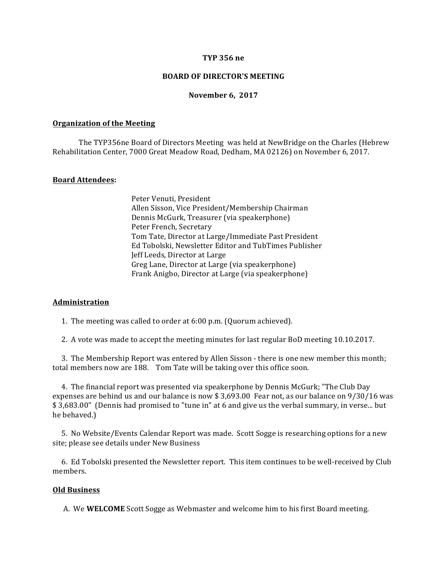#### **TYP 356 ne**

## **BOARD OF DIRECTOR'S MEETING**

#### **November 6, 2017**

#### **Organization of the Meeting**

The TYP356ne Board of Directors Meeting was held at NewBridge on the Charles (Hebrew Rehabilitation Center, 7000 Great Meadow Road, Dedham, MA 02126) on November 6, 2017.

## **Board Attendees:**

Peter Venuti, President Allen Sisson, Vice President/Membership Chairman Dennis McGurk, Treasurer (via speakerphone) Peter French, Secretary Tom Tate, Director at Large/Immediate Past President Ed Tobolski, Newsletter Editor and TubTimes Publisher Jeff Leeds, Director at Large Greg Lane, Director at Large (via speakerphone) Frank Anigbo, Director at Large (via speakerphone)

### **Administration**

1. The meeting was called to order at  $6:00$  p.m. (Quorum achieved).

2. A vote was made to accept the meeting minutes for last regular BoD meeting 10.10.2017.

3. The Membership Report was entered by Allen Sisson - there is one new member this month; total members now are 188. Tom Tate will be taking over this office soon.

4. The financial report was presented via speakerphone by Dennis McGurk; "The Club Day expenses are behind us and our balance is now  $$3,693.00$  Fear not, as our balance on  $9/30/16$  was \$3,683.00" (Dennis had promised to "tune in" at 6 and give us the verbal summary, in verse... but he behaved.)

5. No Website/Events Calendar Report was made. Scott Sogge is researching options for a new site; please see details under New Business

6. Ed Tobolski presented the Newsletter report. This item continues to be well-received by Club members. 

#### **Old Business**

A. We **WELCOME** Scott Sogge as Webmaster and welcome him to his first Board meeting.